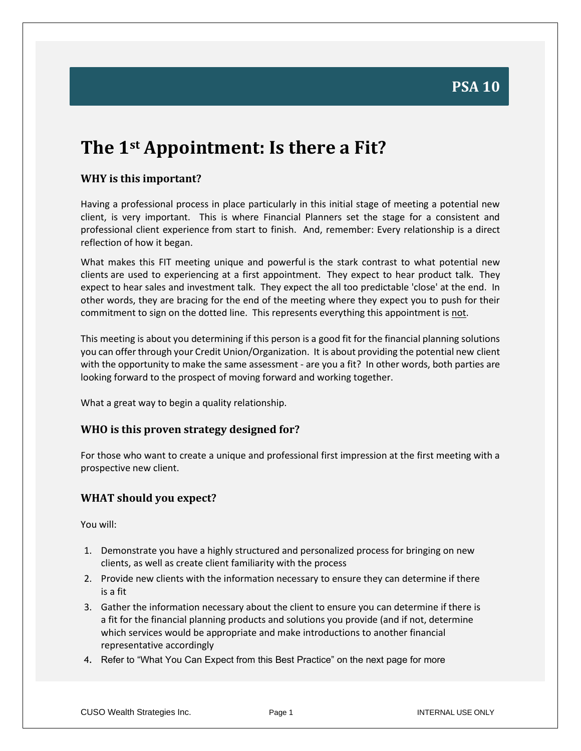# **PSA 10**

# **The 1st Appointment: Is there a Fit?**

### **WHY is this important?**

Having a professional process in place particularly in this initial stage of meeting a potential new client, is very important. This is where Financial Planners set the stage for a consistent and professional client experience from start to finish. And, remember: Every relationship is a direct reflection of how it began.

What makes this FIT meeting unique and powerful is the stark contrast to what potential new clients are used to experiencing at a first appointment. They expect to hear product talk. They expect to hear sales and investment talk. They expect the all too predictable 'close' at the end. In other words, they are bracing for the end of the meeting where they expect you to push for their commitment to sign on the dotted line. This represents everything this appointment is not.

This meeting is about you determining if this person is a good fit for the financial planning solutions you can offer through your Credit Union/Organization. It is about providing the potential new client with the opportunity to make the same assessment - are you a fit? In other words, both parties are looking forward to the prospect of moving forward and working together.

What a great way to begin a quality relationship.

#### **WHO is this proven strategy designed for?**

For those who want to create a unique and professional first impression at the first meeting with a prospective new client.

### **WHAT should you expect?**

You will:

- 1. Demonstrate you have a highly structured and personalized process for bringing on new clients, as well as create client familiarity with the process
- 2. Provide new clients with the information necessary to ensure they can determine if there is a fit
- 3. Gather the information necessary about the client to ensure you can determine if there is a fit for the financial planning products and solutions you provide (and if not, determine which services would be appropriate and make introductions to another financial representative accordingly
- 4. Refer to "What You Can Expect from this Best Practice" on the next page for more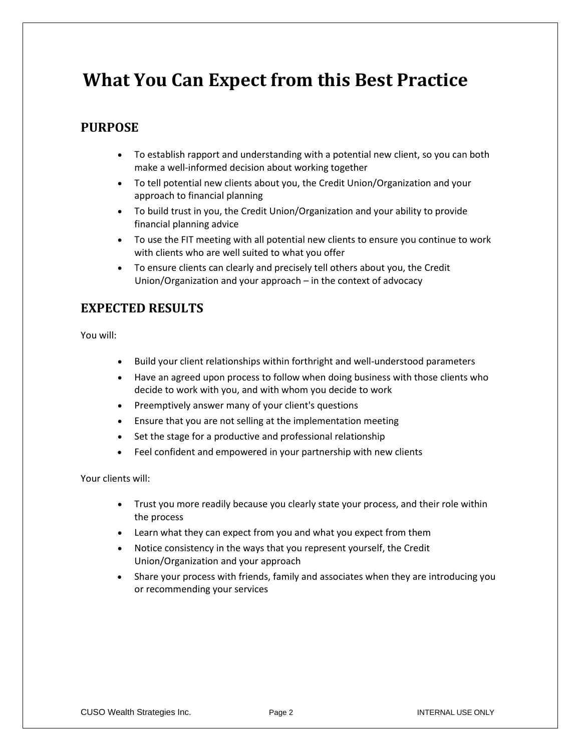# **What You Can Expect from this Best Practice**

## **PURPOSE**

- To establish rapport and understanding with a potential new client, so you can both make a well-informed decision about working together
- To tell potential new clients about you, the Credit Union/Organization and your approach to financial planning
- To build trust in you, the Credit Union/Organization and your ability to provide financial planning advice
- To use the FIT meeting with all potential new clients to ensure you continue to work with clients who are well suited to what you offer
- To ensure clients can clearly and precisely tell others about you, the Credit Union/Organization and your approach – in the context of advocacy

## **EXPECTED RESULTS**

You will:

- Build your client relationships within forthright and well-understood parameters
- Have an agreed upon process to follow when doing business with those clients who decide to work with you, and with whom you decide to work
- Preemptively answer many of your client's questions
- Ensure that you are not selling at the implementation meeting
- Set the stage for a productive and professional relationship
- Feel confident and empowered in your partnership with new clients

Your clients will:

- Trust you more readily because you clearly state your process, and their role within the process
- Learn what they can expect from you and what you expect from them
- Notice consistency in the ways that you represent yourself, the Credit Union/Organization and your approach
- Share your process with friends, family and associates when they are introducing you or recommending your services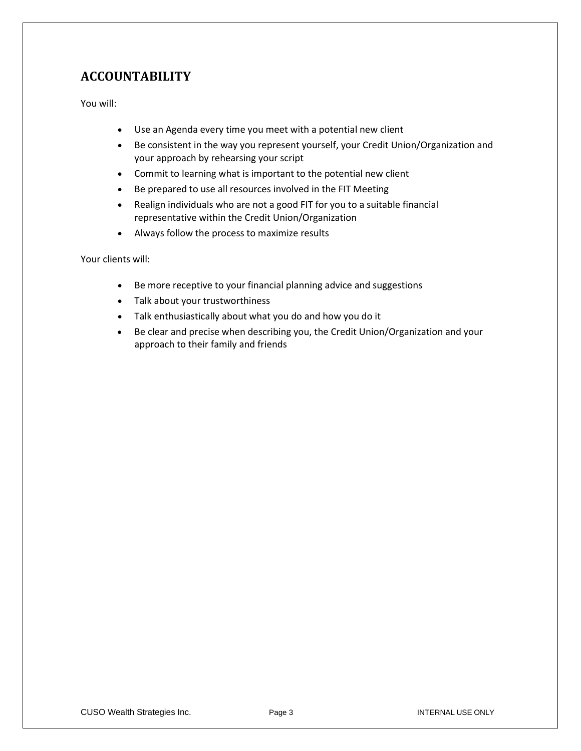## **ACCOUNTABILITY**

You will:

- Use an Agenda every time you meet with a potential new client
- Be consistent in the way you represent yourself, your Credit Union/Organization and your approach by rehearsing your script
- Commit to learning what is important to the potential new client
- Be prepared to use all resources involved in the FIT Meeting
- Realign individuals who are not a good FIT for you to a suitable financial representative within the Credit Union/Organization
- Always follow the process to maximize results

Your clients will:

- Be more receptive to your financial planning advice and suggestions
- Talk about your trustworthiness
- Talk enthusiastically about what you do and how you do it
- Be clear and precise when describing you, the Credit Union/Organization and your approach to their family and friends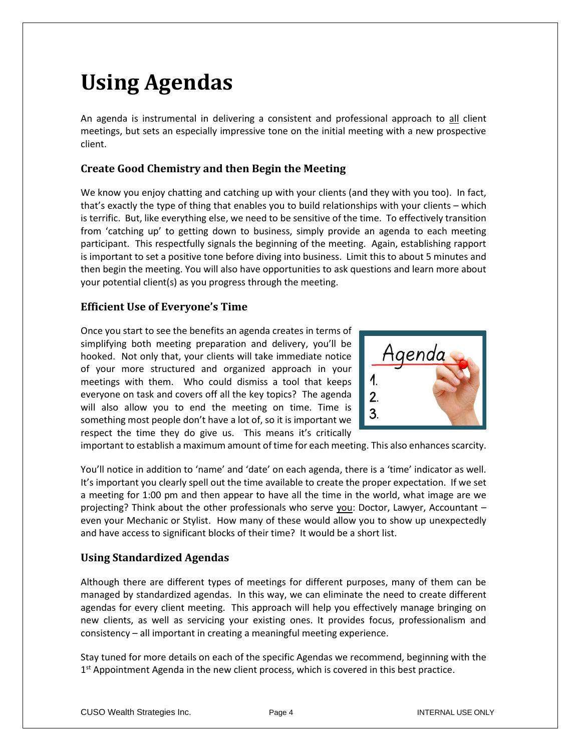# **Using Agendas**

An agenda is instrumental in delivering a consistent and professional approach to all client meetings, but sets an especially impressive tone on the initial meeting with a new prospective client.

### **Create Good Chemistry and then Begin the Meeting**

We know you enjoy chatting and catching up with your clients (and they with you too). In fact, that's exactly the type of thing that enables you to build relationships with your clients – which is terrific. But, like everything else, we need to be sensitive of the time. To effectively transition from 'catching up' to getting down to business, simply provide an agenda to each meeting participant. This respectfully signals the beginning of the meeting. Again, establishing rapport is important to set a positive tone before diving into business. Limit this to about 5 minutes and then begin the meeting. You will also have opportunities to ask questions and learn more about your potential client(s) as you progress through the meeting.

### **Efficient Use of Everyone's Time**

Once you start to see the benefits an agenda creates in terms of simplifying both meeting preparation and delivery, you'll be hooked. Not only that, your clients will take immediate notice of your more structured and organized approach in your meetings with them. Who could dismiss a tool that keeps everyone on task and covers off all the key topics? The agenda will also allow you to end the meeting on time. Time is something most people don't have a lot of, so it is important we respect the time they do give us. This means it's critically



important to establish a maximum amount of time for each meeting. This also enhances scarcity.

You'll notice in addition to 'name' and 'date' on each agenda, there is a 'time' indicator as well. It's important you clearly spell out the time available to create the proper expectation. If we set a meeting for 1:00 pm and then appear to have all the time in the world, what image are we projecting? Think about the other professionals who serve you: Doctor, Lawyer, Accountant – even your Mechanic or Stylist. How many of these would allow you to show up unexpectedly and have access to significant blocks of their time? It would be a short list.

### **Using Standardized Agendas**

Although there are different types of meetings for different purposes, many of them can be managed by standardized agendas. In this way, we can eliminate the need to create different agendas for every client meeting. This approach will help you effectively manage bringing on new clients, as well as servicing your existing ones. It provides focus, professionalism and consistency – all important in creating a meaningful meeting experience.

Stay tuned for more details on each of the specific Agendas we recommend, beginning with the 1<sup>st</sup> Appointment Agenda in the new client process, which is covered in this best practice.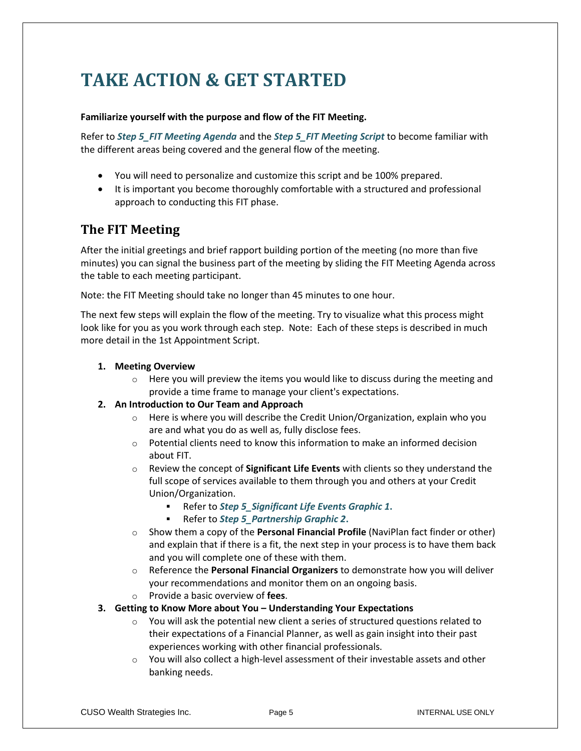# **TAKE ACTION & GET STARTED**

#### **Familiarize yourself with the purpose and flow of the FIT Meeting.**

Refer to *Step 5\_FIT Meeting Agenda* and the *Step 5\_FIT Meeting Script* to become familiar with the different areas being covered and the general flow of the meeting.

- You will need to personalize and customize this script and be 100% prepared.
- It is important you become thoroughly comfortable with a structured and professional approach to conducting this FIT phase.

## **The FIT Meeting**

After the initial greetings and brief rapport building portion of the meeting (no more than five minutes) you can signal the business part of the meeting by sliding the FIT Meeting Agenda across the table to each meeting participant.

Note: the FIT Meeting should take no longer than 45 minutes to one hour.

The next few steps will explain the flow of the meeting. Try to visualize what this process might look like for you as you work through each step. Note: Each of these steps is described in much more detail in the 1st Appointment Script.

#### **1. Meeting Overview**

 $\circ$  Here you will preview the items you would like to discuss during the meeting and provide a time frame to manage your client's expectations.

#### **2. An Introduction to Our Team and Approach**

- $\circ$  Here is where you will describe the Credit Union/Organization, explain who you are and what you do as well as, fully disclose fees.
- $\circ$  Potential clients need to know this information to make an informed decision about FIT.
- o Review the concept of **Significant Life Events** with clients so they understand the full scope of services available to them through you and others at your Credit Union/Organization.
	- Refer to *Step 5\_Significant Life Events Graphic 1***.**
	- Refer to *Step 5\_Partnership Graphic 2***.**
- o Show them a copy of the **Personal Financial Profile** (NaviPlan fact finder or other) and explain that if there is a fit, the next step in your process is to have them back and you will complete one of these with them.
- o Reference the **Personal Financial Organizers** to demonstrate how you will deliver your recommendations and monitor them on an ongoing basis. o Provide a basic overview of **fees**.
- **3. Getting to Know More about You – Understanding Your Expectations**
	- o You will ask the potential new client a series of structured questions related to their expectations of a Financial Planner, as well as gain insight into their past experiences working with other financial professionals.
	- o You will also collect a high-level assessment of their investable assets and other banking needs.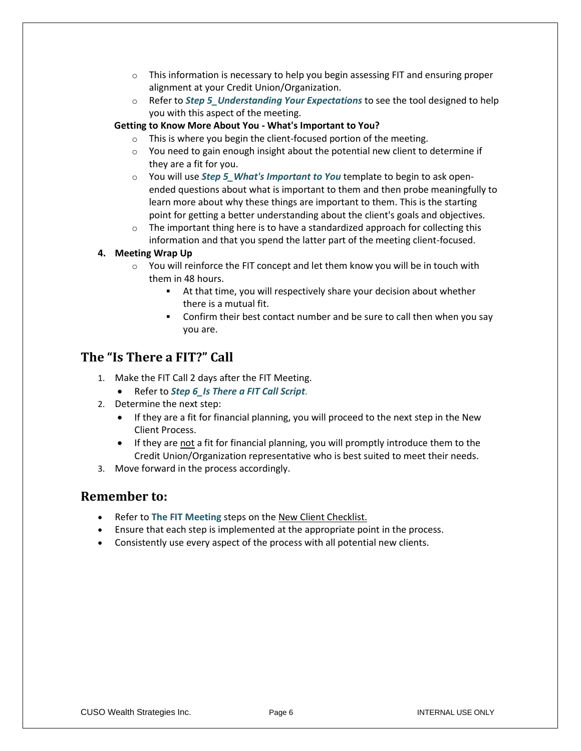- $\circ$  This information is necessary to help you begin assessing FIT and ensuring proper alignment at your Credit Union/Organization.
- o Refer to *Step 5\_Understanding Your Expectations* to see the tool designed to help you with this aspect of the meeting.

#### **Getting to Know More About You - What's Important to You?**

- o This is where you begin the client-focused portion of the meeting.
- o You need to gain enough insight about the potential new client to determine if they are a fit for you.
- o You will use *Step 5\_What's Important to You* template to begin to ask openended questions about what is important to them and then probe meaningfully to learn more about why these things are important to them. This is the starting point for getting a better understanding about the client's goals and objectives.
- $\circ$  The important thing here is to have a standardized approach for collecting this information and that you spend the latter part of the meeting client-focused.

#### **4. Meeting Wrap Up**

- o You will reinforce the FIT concept and let them know you will be in touch with them in 48 hours.
	- At that time, you will respectively share your decision about whether there is a mutual fit.
	- Confirm their best contact number and be sure to call then when you say you are.

### **The "Is There a FIT?" Call**

- 1. Make the FIT Call 2 days after the FIT Meeting.
	- Refer to *Step 6\_Is There a FIT Call Script.*
- 2. Determine the next step:
	- If they are a fit for financial planning, you will proceed to the next step in the New Client Process.
	- If they are not a fit for financial planning, you will promptly introduce them to the Credit Union/Organization representative who is best suited to meet their needs.
- 3. Move forward in the process accordingly.

### **Remember to:**

- Refer to **The FIT Meeting** steps on the New Client Checklist.
- Ensure that each step is implemented at the appropriate point in the process.
- Consistently use every aspect of the process with all potential new clients.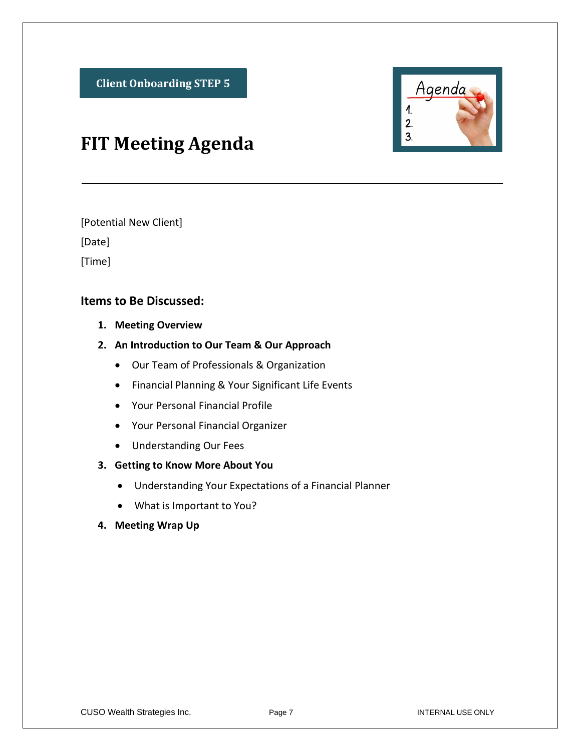

# **FIT Meeting Agenda**

[Potential New Client]

[Date]

[Time]

## **Items to Be Discussed:**

- **1. Meeting Overview**
- **2. An Introduction to Our Team & Our Approach** 
	- Our Team of Professionals & Organization
	- Financial Planning & Your Significant Life Events
	- Your Personal Financial Profile
	- Your Personal Financial Organizer
	- Understanding Our Fees

### **3. Getting to Know More About You**

- Understanding Your Expectations of a Financial Planner
- What is Important to You?
- **4. Meeting Wrap Up**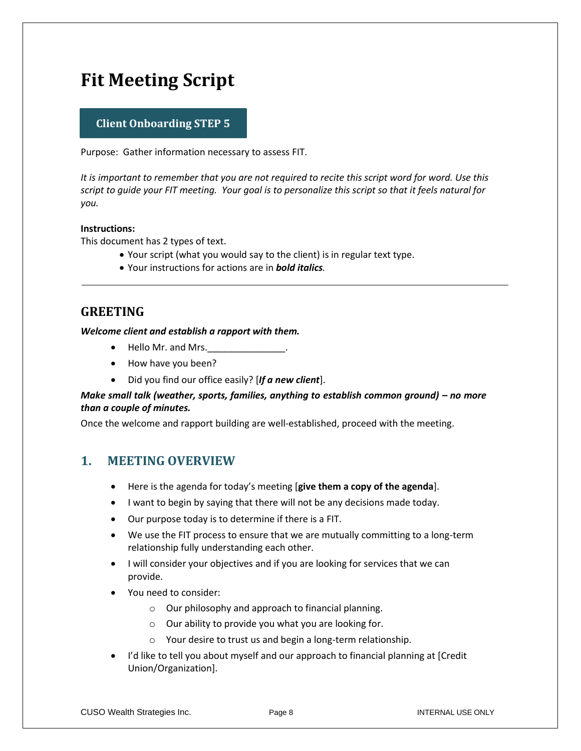# **Fit Meeting Script**

### **Client Onboarding STEP 5**

Purpose: Gather information necessary to assess FIT.

*It is important to remember that you are not required to recite this script word for word. Use this script to guide your FIT meeting. Your goal is to personalize this script so that it feels natural for you.*

#### **Instructions:**

This document has 2 types of text.

- Your script (what you would say to the client) is in regular text type.
- Your instructions for actions are in *bold italics.*

## **GREETING**

*Welcome client and establish a rapport with them.*

- Hello Mr. and Mrs.
- How have you been?
- Did you find our office easily? [*If a new client*].

#### *Make small talk (weather, sports, families, anything to establish common ground) – no more than a couple of minutes.*

Once the welcome and rapport building are well-established, proceed with the meeting.

## **1. MEETING OVERVIEW**

- Here is the agenda for today's meeting [**give them a copy of the agenda**].
- I want to begin by saying that there will not be any decisions made today.
- Our purpose today is to determine if there is a FIT.
- We use the FIT process to ensure that we are mutually committing to a long-term relationship fully understanding each other.
- I will consider your objectives and if you are looking for services that we can provide.
- You need to consider:
	- o Our philosophy and approach to financial planning.
	- $\circ$  Our ability to provide you what you are looking for.
	- o Your desire to trust us and begin a long-term relationship.
- I'd like to tell you about myself and our approach to financial planning at [Credit Union/Organization].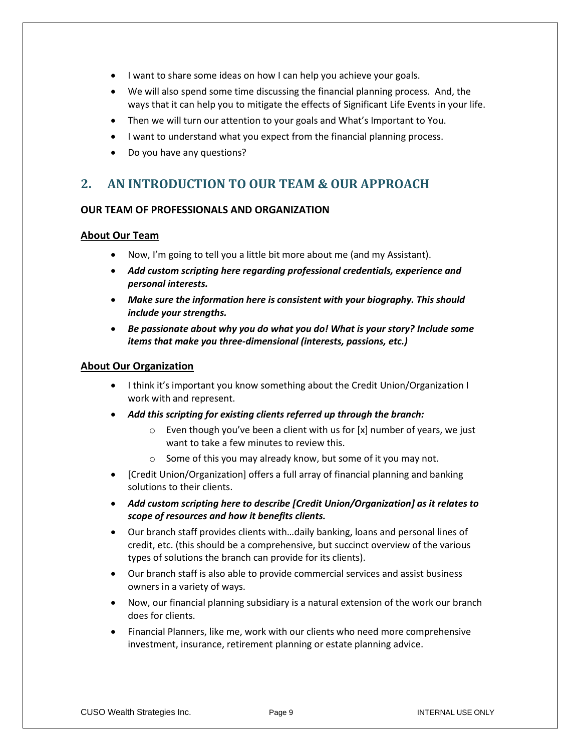- I want to share some ideas on how I can help you achieve your goals.
- We will also spend some time discussing the financial planning process. And, the ways that it can help you to mitigate the effects of Significant Life Events in your life.
- Then we will turn our attention to your goals and What's Important to You.
- I want to understand what you expect from the financial planning process.
- Do you have any questions?

## **2. AN INTRODUCTION TO OUR TEAM & OUR APPROACH**

#### **OUR TEAM OF PROFESSIONALS AND ORGANIZATION**

#### **About Our Team**

- Now, I'm going to tell you a little bit more about me (and my Assistant).
- *Add custom scripting here regarding professional credentials, experience and personal interests.*
- *Make sure the information here is consistent with your biography. This should include your strengths.*
- *Be passionate about why you do what you do! What is your story? Include some items that make you three-dimensional (interests, passions, etc.)*

#### **About Our Organization**

- I think it's important you know something about the Credit Union/Organization I work with and represent.
- *Add this scripting for existing clients referred up through the branch:*
	- $\circ$  Even though you've been a client with us for [x] number of years, we just want to take a few minutes to review this.
	- o Some of this you may already know, but some of it you may not.
- [Credit Union/Organization] offers a full array of financial planning and banking solutions to their clients.
- *Add custom scripting here to describe [Credit Union/Organization] as it relates to scope of resources and how it benefits clients.*
- Our branch staff provides clients with…daily banking, loans and personal lines of credit, etc. (this should be a comprehensive, but succinct overview of the various types of solutions the branch can provide for its clients).
- Our branch staff is also able to provide commercial services and assist business owners in a variety of ways.
- Now, our financial planning subsidiary is a natural extension of the work our branch does for clients.
- Financial Planners, like me, work with our clients who need more comprehensive investment, insurance, retirement planning or estate planning advice.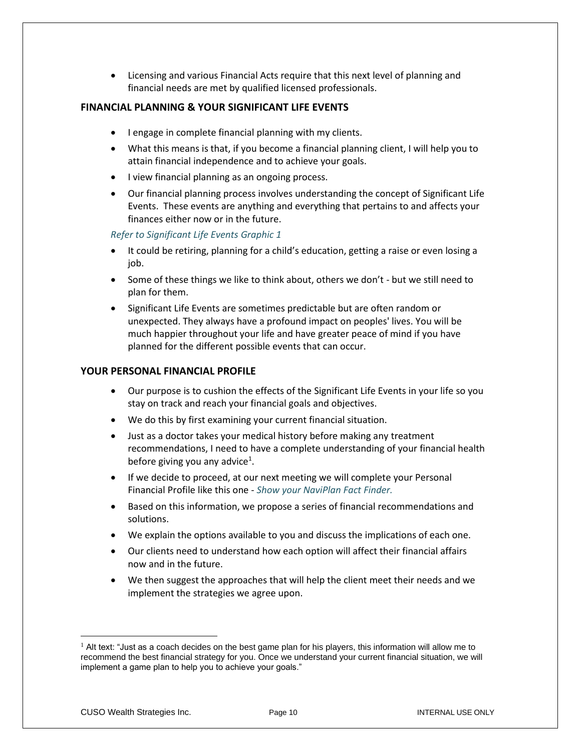• Licensing and various Financial Acts require that this next level of planning and financial needs are met by qualified licensed professionals.

#### **FINANCIAL PLANNING & YOUR SIGNIFICANT LIFE EVENTS**

- I engage in complete financial planning with my clients.
- What this means is that, if you become a financial planning client, I will help you to attain financial independence and to achieve your goals.
- I view financial planning as an ongoing process.
- Our financial planning process involves understanding the concept of Significant Life Events. These events are anything and everything that pertains to and affects your finances either now or in the future.

#### *Refer to Significant Life Events Graphic 1*

- It could be retiring, planning for a child's education, getting a raise or even losing a job.
- Some of these things we like to think about, others we don't but we still need to plan for them.
- Significant Life Events are sometimes predictable but are often random or unexpected. They always have a profound impact on peoples' lives. You will be much happier throughout your life and have greater peace of mind if you have planned for the different possible events that can occur.

#### **YOUR PERSONAL FINANCIAL PROFILE**

- Our purpose is to cushion the effects of the Significant Life Events in your life so you stay on track and reach your financial goals and objectives.
- We do this by first examining your current financial situation.
- Just as a doctor takes your medical history before making any treatment recommendations, I need to have a complete understanding of your financial health before giving you any advice<sup>1</sup>.
- If we decide to proceed, at our next meeting we will complete your Personal Financial Profile like this one - *Show your NaviPlan Fact Finder.*
- Based on this information, we propose a series of financial recommendations and solutions.
- We explain the options available to you and discuss the implications of each one.
- Our clients need to understand how each option will affect their financial affairs now and in the future.
- We then suggest the approaches that will help the client meet their needs and we implement the strategies we agree upon.

 $<sup>1</sup>$  Alt text: "Just as a coach decides on the best game plan for his players, this information will allow me to</sup> recommend the best financial strategy for you. Once we understand your current financial situation, we will implement a game plan to help you to achieve your goals."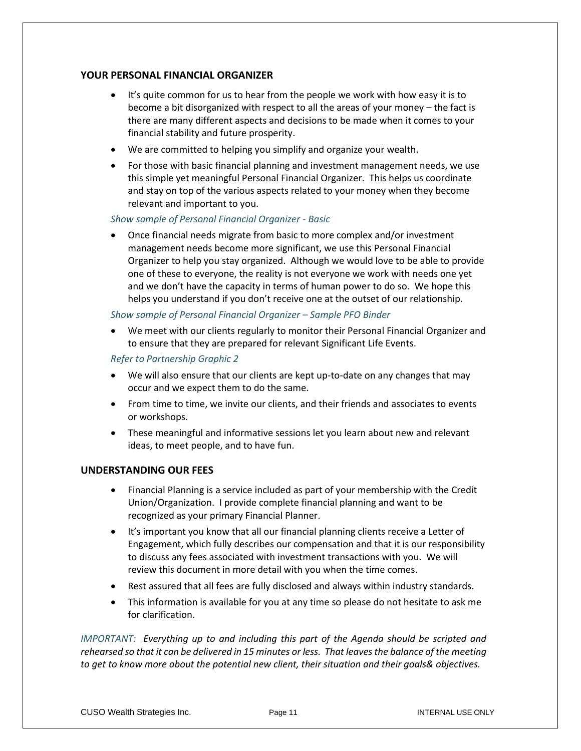#### **YOUR PERSONAL FINANCIAL ORGANIZER**

- It's quite common for us to hear from the people we work with how easy it is to become a bit disorganized with respect to all the areas of your money – the fact is there are many different aspects and decisions to be made when it comes to your financial stability and future prosperity.
- We are committed to helping you simplify and organize your wealth.
- For those with basic financial planning and investment management needs, we use this simple yet meaningful Personal Financial Organizer. This helps us coordinate and stay on top of the various aspects related to your money when they become relevant and important to you.

#### *Show sample of Personal Financial Organizer - Basic*

• Once financial needs migrate from basic to more complex and/or investment management needs become more significant, we use this Personal Financial Organizer to help you stay organized. Although we would love to be able to provide one of these to everyone, the reality is not everyone we work with needs one yet and we don't have the capacity in terms of human power to do so. We hope this helps you understand if you don't receive one at the outset of our relationship.

#### *Show sample of Personal Financial Organizer – Sample PFO Binder*

• We meet with our clients regularly to monitor their Personal Financial Organizer and to ensure that they are prepared for relevant Significant Life Events.

#### *Refer to Partnership Graphic 2*

- We will also ensure that our clients are kept up-to-date on any changes that may occur and we expect them to do the same.
- From time to time, we invite our clients, and their friends and associates to events or workshops.
- These meaningful and informative sessions let you learn about new and relevant ideas, to meet people, and to have fun.

#### **UNDERSTANDING OUR FEES**

- Financial Planning is a service included as part of your membership with the Credit Union/Organization. I provide complete financial planning and want to be recognized as your primary Financial Planner.
- It's important you know that all our financial planning clients receive a Letter of Engagement, which fully describes our compensation and that it is our responsibility to discuss any fees associated with investment transactions with you. We will review this document in more detail with you when the time comes.
- Rest assured that all fees are fully disclosed and always within industry standards.
- This information is available for you at any time so please do not hesitate to ask me for clarification.

*IMPORTANT: Everything up to and including this part of the Agenda should be scripted and rehearsed so that it can be delivered in 15 minutes or less. That leaves the balance of the meeting to get to know more about the potential new client, their situation and their goals& objectives.*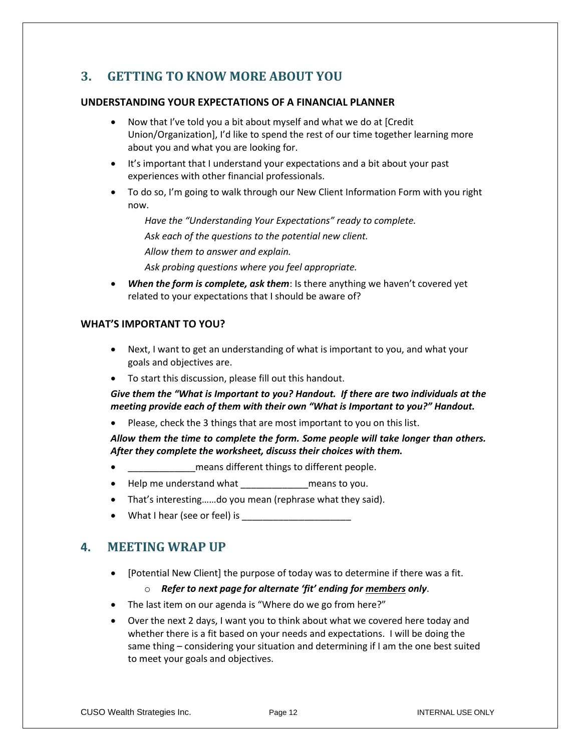## **3. GETTING TO KNOW MORE ABOUT YOU**

#### **UNDERSTANDING YOUR EXPECTATIONS OF A FINANCIAL PLANNER**

- Now that I've told you a bit about myself and what we do at [Credit Union/Organization], I'd like to spend the rest of our time together learning more about you and what you are looking for.
- It's important that I understand your expectations and a bit about your past experiences with other financial professionals.
- To do so, I'm going to walk through our New Client Information Form with you right now.

*Have the "Understanding Your Expectations" ready to complete. Ask each of the questions to the potential new client. Allow them to answer and explain. Ask probing questions where you feel appropriate.*

When the form is complete, ask them: Is there anything we haven't covered yet related to your expectations that I should be aware of?

#### **WHAT'S IMPORTANT TO YOU?**

- Next, I want to get an understanding of what is important to you, and what your goals and objectives are.
- To start this discussion, please fill out this handout.

*Give them the "What is Important to you? Handout. If there are two individuals at the meeting provide each of them with their own "What is Important to you?" Handout.*

• Please, check the 3 things that are most important to you on this list.

*Allow them the time to complete the form. Some people will take longer than others. After they complete the worksheet, discuss their choices with them.*

- **Example 2** means different things to different people.
- Help me understand what electron means to you.
- That's interesting……do you mean (rephrase what they said).
- What I hear (see or feel) is  $\sqrt{ }$

## **4. MEETING WRAP UP**

• [Potential New Client] the purpose of today was to determine if there was a fit.

#### o *Refer to next page for alternate 'fit' ending for members only*.

- The last item on our agenda is "Where do we go from here?"
- Over the next 2 days, I want you to think about what we covered here today and whether there is a fit based on your needs and expectations. I will be doing the same thing – considering your situation and determining if I am the one best suited to meet your goals and objectives.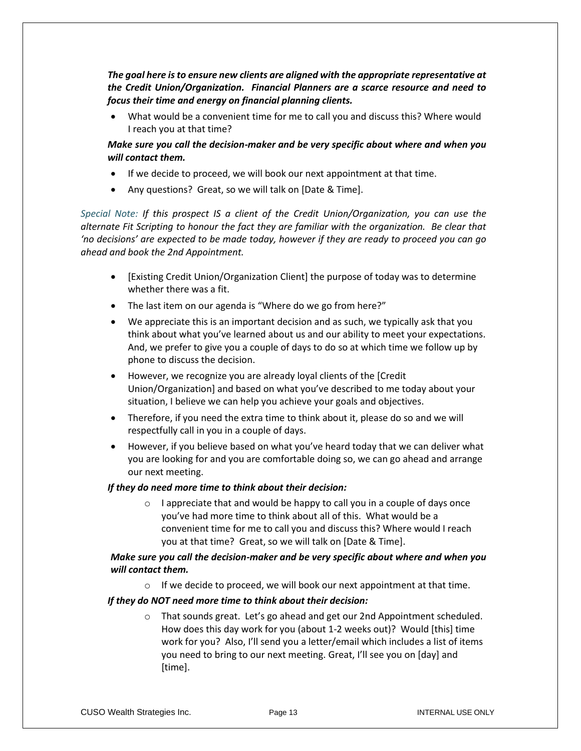*The goal here is to ensure new clients are aligned with the appropriate representative at the Credit Union/Organization. Financial Planners are a scarce resource and need to focus their time and energy on financial planning clients.* 

• What would be a convenient time for me to call you and discuss this? Where would I reach you at that time?

*Make sure you call the decision-maker and be very specific about where and when you will contact them.*

- If we decide to proceed, we will book our next appointment at that time.
- Any questions? Great, so we will talk on [Date & Time].

*Special Note: If this prospect IS a client of the Credit Union/Organization, you can use the alternate Fit Scripting to honour the fact they are familiar with the organization. Be clear that 'no decisions' are expected to be made today, however if they are ready to proceed you can go ahead and book the 2nd Appointment.*

- [Existing Credit Union/Organization Client] the purpose of today was to determine whether there was a fit.
- The last item on our agenda is "Where do we go from here?"
- We appreciate this is an important decision and as such, we typically ask that you think about what you've learned about us and our ability to meet your expectations. And, we prefer to give you a couple of days to do so at which time we follow up by phone to discuss the decision.
- However, we recognize you are already loyal clients of the [Credit Union/Organization] and based on what you've described to me today about your situation, I believe we can help you achieve your goals and objectives.
- Therefore, if you need the extra time to think about it, please do so and we will respectfully call in you in a couple of days.
- However, if you believe based on what you've heard today that we can deliver what you are looking for and you are comfortable doing so, we can go ahead and arrange our next meeting.

#### *If they do need more time to think about their decision:*

 $\circ$  I appreciate that and would be happy to call you in a couple of days once you've had more time to think about all of this. What would be a convenient time for me to call you and discuss this? Where would I reach you at that time? Great, so we will talk on [Date & Time].

#### *Make sure you call the decision-maker and be very specific about where and when you will contact them.*

 $\circ$  If we decide to proceed, we will book our next appointment at that time.

#### *If they do NOT need more time to think about their decision:*

o That sounds great. Let's go ahead and get our 2nd Appointment scheduled. How does this day work for you (about 1-2 weeks out)? Would [this] time work for you? Also, I'll send you a letter/email which includes a list of items you need to bring to our next meeting. Great, I'll see you on [day] and [time].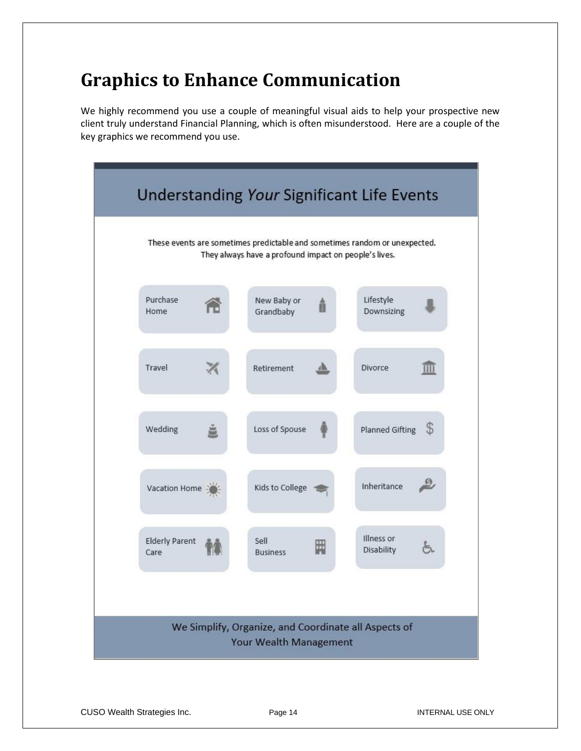# **Graphics to Enhance Communication**

We highly recommend you use a couple of meaningful visual aids to help your prospective new client truly understand Financial Planning, which is often misunderstood. Here are a couple of the key graphics we recommend you use.

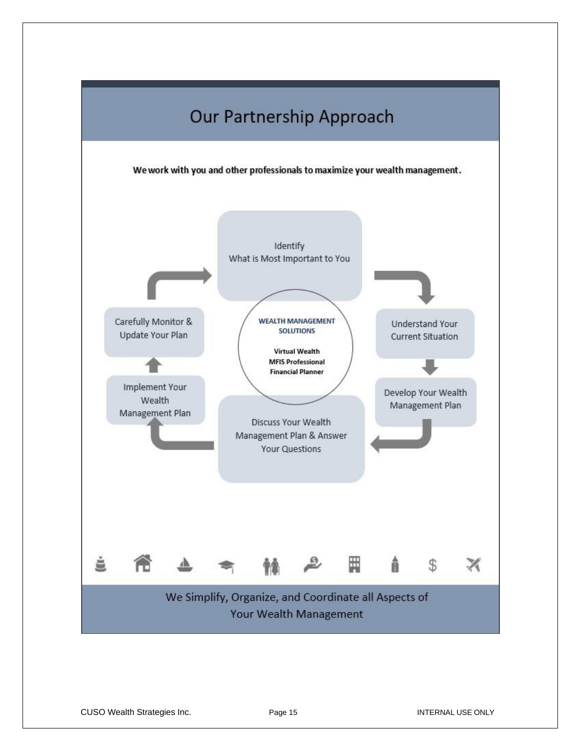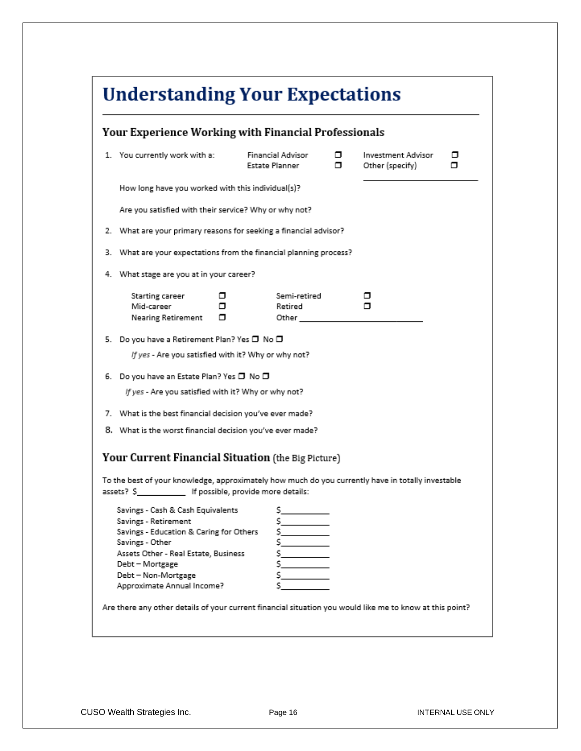|                                                   | Your Experience Working with Financial Professionals                                                                                                                                                                                    |                                    |                                            |   |                                       |        |
|---------------------------------------------------|-----------------------------------------------------------------------------------------------------------------------------------------------------------------------------------------------------------------------------------------|------------------------------------|--------------------------------------------|---|---------------------------------------|--------|
|                                                   | 1. You currently work with a:                                                                                                                                                                                                           |                                    | Financial Advisor<br><b>Estate Planner</b> | α | Investment Advisor<br>Other (specify) | ▫<br>▫ |
| How long have you worked with this individual(s)? |                                                                                                                                                                                                                                         |                                    |                                            |   |                                       |        |
|                                                   | Are you satisfied with their service? Why or why not?                                                                                                                                                                                   |                                    |                                            |   |                                       |        |
|                                                   | 2. What are your primary reasons for seeking a financial advisor?                                                                                                                                                                       |                                    |                                            |   |                                       |        |
|                                                   | 3. What are your expectations from the financial planning process?                                                                                                                                                                      |                                    |                                            |   |                                       |        |
|                                                   | 4. What stage are you at in your career?                                                                                                                                                                                                |                                    |                                            |   |                                       |        |
|                                                   | Starting career<br>Mid-career<br><b>Nearing Retirement</b>                                                                                                                                                                              | ▫<br>α<br>□                        | Semi-retired<br>Retired<br>Other           |   | ▫<br>п                                |        |
|                                                   | 5. Do you have a Retirement Plan? Yes □ No □                                                                                                                                                                                            |                                    |                                            |   |                                       |        |
|                                                   | If yes - Are you satisfied with it? Why or why not?                                                                                                                                                                                     |                                    |                                            |   |                                       |        |
|                                                   | 6. Do you have an Estate Plan? Yes □ No □                                                                                                                                                                                               |                                    |                                            |   |                                       |        |
|                                                   | If yes - Are you satisfied with it? Why or why not?                                                                                                                                                                                     |                                    |                                            |   |                                       |        |
|                                                   | 7. What is the best financial decision you've ever made?                                                                                                                                                                                |                                    |                                            |   |                                       |        |
|                                                   | 8. What is the worst financial decision you've ever made?                                                                                                                                                                               |                                    |                                            |   |                                       |        |
|                                                   | Your Current Financial Situation (the Big Picture)                                                                                                                                                                                      |                                    |                                            |   |                                       |        |
|                                                   | To the best of your knowledge, approximately how much do you currently have in totally investable                                                                                                                                       |                                    |                                            |   |                                       |        |
|                                                   | assets? S                                                                                                                                                                                                                               | If possible, provide more details: |                                            |   |                                       |        |
|                                                   | Savings - Cash & Cash Equivalents<br>Savings - Retirement<br>Savings - Education & Caring for Others<br>Savings - Other<br>Assets Other - Real Estate, Business<br>Debt - Mortgage<br>Debt - Non-Mortgage<br>Approximate Annual Income? |                                    | s<br>s<br>\$.<br>s                         |   |                                       |        |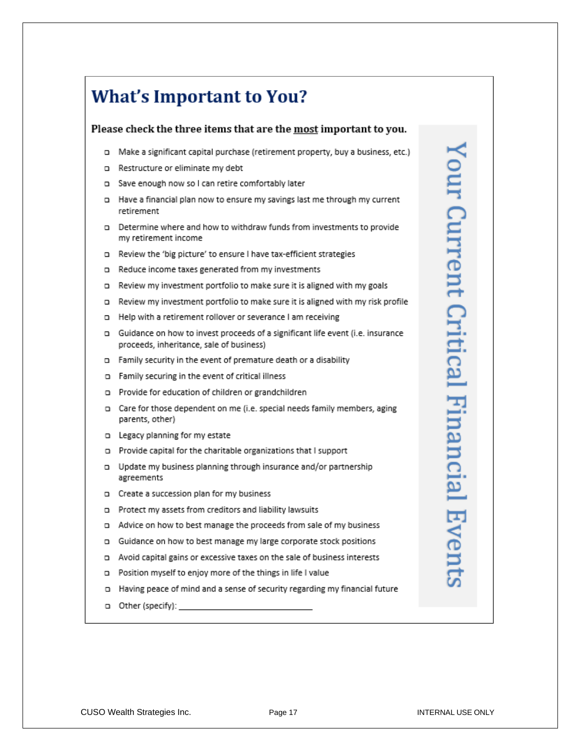# **What's Important to You?**

#### Please check the three items that are the most important to you.

- a Make a significant capital purchase (retirement property, buy a business, etc.)
- n Restructure or eliminate my debt
- a Save enough now so I can retire comfortably later
- a Have a financial plan now to ensure my savings last me through my current retirement
- o Determine where and how to withdraw funds from investments to provide my retirement income
- n Review the 'big picture' to ensure I have tax-efficient strategies
- n Reduce income taxes generated from my investments
- n Review my investment portfolio to make sure it is aligned with my goals
- n Review my investment portfolio to make sure it is aligned with my risk profile
- n Help with a retirement rollover or severance I am receiving
- a Guidance on how to invest proceeds of a significant life event (i.e. insurance proceeds, inheritance, sale of business)
- n Family security in the event of premature death or a disability
- n Family securing in the event of critical illness
- n Provide for education of children or grandchildren
- o Care for those dependent on me (i.e. special needs family members, aging parents, other)
- n Legacy planning for my estate
- n Provide capital for the charitable organizations that I support
- g Update my business planning through insurance and/or partnership agreements
- n Create a succession plan for my business
- o Protect my assets from creditors and liability lawsuits
- a Advice on how to best manage the proceeds from sale of my business
- a Guidance on how to best manage my large corporate stock positions
- a Avoid capital gains or excessive taxes on the sale of business interests
- n Position myself to enjoy more of the things in life I value
- a Having peace of mind and a sense of security regarding my financial future
- D Other (specify):

Your Current Critical Financial Event: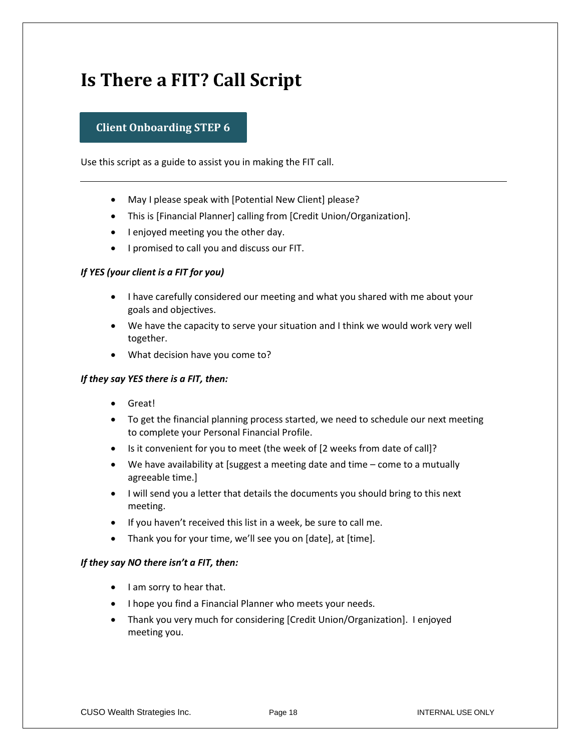# **Is There a FIT? Call Script**

### **Client Onboarding STEP 6**

Use this script as a guide to assist you in making the FIT call.

- May I please speak with [Potential New Client] please?
- This is [Financial Planner] calling from [Credit Union/Organization].
- I enjoyed meeting you the other day.
- I promised to call you and discuss our FIT.

#### *If YES (your client is a FIT for you)*

- I have carefully considered our meeting and what you shared with me about your goals and objectives.
- We have the capacity to serve your situation and I think we would work very well together.
- What decision have you come to?

#### *If they say YES there is a FIT, then:*

- Great!
- To get the financial planning process started, we need to schedule our next meeting to complete your Personal Financial Profile.
- Is it convenient for you to meet (the week of [2 weeks from date of call]?
- We have availability at [suggest a meeting date and time come to a mutually agreeable time.]
- I will send you a letter that details the documents you should bring to this next meeting.
- If you haven't received this list in a week, be sure to call me.
- Thank you for your time, we'll see you on [date], at [time].

#### *If they say NO there isn't a FIT, then:*

- I am sorry to hear that.
- I hope you find a Financial Planner who meets your needs.
- Thank you very much for considering [Credit Union/Organization]. I enjoyed meeting you.